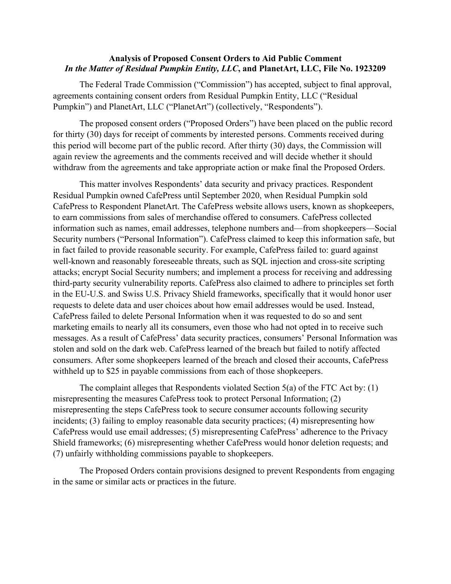## **Analysis of Proposed Consent Orders to Aid Public Comment**  *In the Matter of Residual Pumpkin Entity, LLC***, and PlanetArt, LLC, File No. 1923209**

The Federal Trade Commission ("Commission") has accepted, subject to final approval, agreements containing consent orders from Residual Pumpkin Entity, LLC ("Residual Pumpkin") and PlanetArt, LLC ("PlanetArt") (collectively, "Respondents").

 this period will become part of the public record. After thirty (30) days, the Commission will The proposed consent orders ("Proposed Orders") have been placed on the public record for thirty (30) days for receipt of comments by interested persons. Comments received during again review the agreements and the comments received and will decide whether it should withdraw from the agreements and take appropriate action or make final the Proposed Orders.

 messages. As a result of CafePress' data security practices, consumers' Personal Information was withheld up to \$25 in payable commissions from each of those shopkeepers. This matter involves Respondents' data security and privacy practices. Respondent Residual Pumpkin owned CafePress until September 2020, when Residual Pumpkin sold CafePress to Respondent PlanetArt. The CafePress website allows users, known as shopkeepers, to earn commissions from sales of merchandise offered to consumers. CafePress collected information such as names, email addresses, telephone numbers and—from shopkeepers—Social Security numbers ("Personal Information"). CafePress claimed to keep this information safe, but in fact failed to provide reasonable security. For example, CafePress failed to: guard against well-known and reasonably foreseeable threats, such as SQL injection and cross-site scripting attacks; encrypt Social Security numbers; and implement a process for receiving and addressing third-party security vulnerability reports. CafePress also claimed to adhere to principles set forth in the EU-U.S. and Swiss U.S. Privacy Shield frameworks, specifically that it would honor user requests to delete data and user choices about how email addresses would be used. Instead, CafePress failed to delete Personal Information when it was requested to do so and sent marketing emails to nearly all its consumers, even those who had not opted in to receive such stolen and sold on the dark web. CafePress learned of the breach but failed to notify affected consumers. After some shopkeepers learned of the breach and closed their accounts, CafePress

withheld up to \$25 in payable commissions from each of those shopkeepers.<br>The complaint alleges that Respondents violated Section 5(a) of the FTC Act by: (1) Shield frameworks; (6) misrepresenting whether CafePress would honor deletion requests; and misrepresenting the measures CafePress took to protect Personal Information; (2) misrepresenting the steps CafePress took to secure consumer accounts following security incidents; (3) failing to employ reasonable data security practices; (4) misrepresenting how CafePress would use email addresses; (5) misrepresenting CafePress' adherence to the Privacy (7) unfairly withholding commissions payable to shopkeepers.

The Proposed Orders contain provisions designed to prevent Respondents from engaging in the same or similar acts or practices in the future.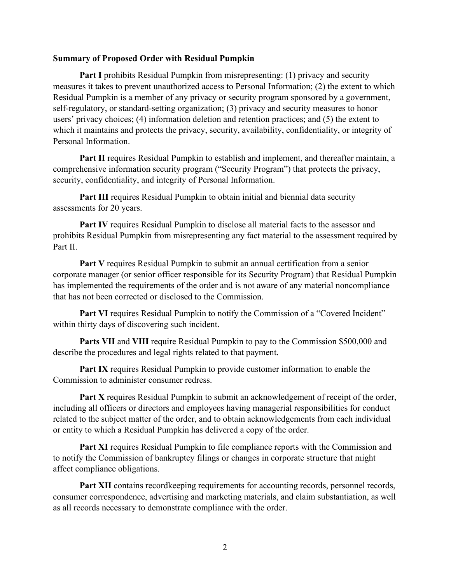## **Summary of Proposed Order with Residual Pumpkin**

**Part I** prohibits Residual Pumpkin from misrepresenting: (1) privacy and security measures it takes to prevent unauthorized access to Personal Information; (2) the extent to which Residual Pumpkin is a member of any privacy or security program sponsored by a government, self-regulatory, or standard-setting organization; (3) privacy and security measures to honor users' privacy choices; (4) information deletion and retention practices; and (5) the extent to which it maintains and protects the privacy, security, availability, confidentiality, or integrity of Personal Information.

Part II requires Residual Pumpkin to establish and implement, and thereafter maintain, a comprehensive information security program ("Security Program") that protects the privacy, security, confidentiality, and integrity of Personal Information.

**Part III** requires Residual Pumpkin to obtain initial and biennial data security assessments for 20 years.

**Part IV** requires Residual Pumpkin to disclose all material facts to the assessor and prohibits Residual Pumpkin from misrepresenting any fact material to the assessment required by Part II.

Part V requires Residual Pumpkin to submit an annual certification from a senior corporate manager (or senior officer responsible for its Security Program) that Residual Pumpkin has implemented the requirements of the order and is not aware of any material noncompliance that has not been corrected or disclosed to the Commission.

**Part VI** requires Residual Pumpkin to notify the Commission of a "Covered Incident" within thirty days of discovering such incident.

**Parts VII** and **VIII** require Residual Pumpkin to pay to the Commission \$500,000 and describe the procedures and legal rights related to that payment.

**Part IX** requires Residual Pumpkin to provide customer information to enable the Commission to administer consumer redress.

Part X requires Residual Pumpkin to submit an acknowledgement of receipt of the order, including all officers or directors and employees having managerial responsibilities for conduct related to the subject matter of the order, and to obtain acknowledgements from each individual or entity to which a Residual Pumpkin has delivered a copy of the order.

**Part XI** requires Residual Pumpkin to file compliance reports with the Commission and to notify the Commission of bankruptcy filings or changes in corporate structure that might affect compliance obligations.

Part XII contains recordkeeping requirements for accounting records, personnel records, consumer correspondence, advertising and marketing materials, and claim substantiation, as well as all records necessary to demonstrate compliance with the order.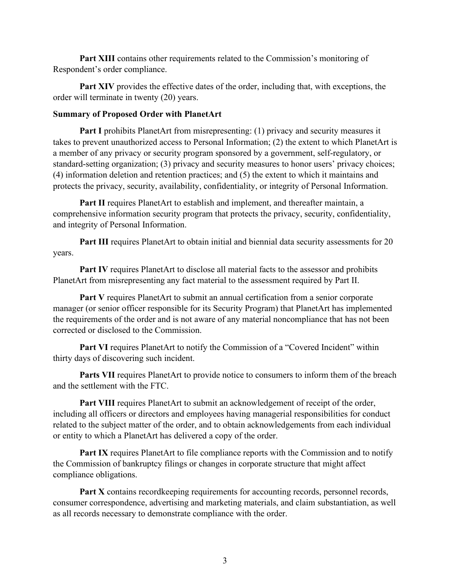Part XIII contains other requirements related to the Commission's monitoring of Respondent's order compliance.

 order will terminate in twenty (20) years. **Part XIV** provides the effective dates of the order, including that, with exceptions, the

## **Summary of Proposed Order with PlanetArt**

**Part I** prohibits PlanetArt from misrepresenting: (1) privacy and security measures it takes to prevent unauthorized access to Personal Information; (2) the extent to which PlanetArt is a member of any privacy or security program sponsored by a government, self-regulatory, or standard-setting organization; (3) privacy and security measures to honor users' privacy choices; (4) information deletion and retention practices; and (5) the extent to which it maintains and protects the privacy, security, availability, confidentiality, or integrity of Personal Information.

Part II requires PlanetArt to establish and implement, and thereafter maintain, a comprehensive information security program that protects the privacy, security, confidentiality, and integrity of Personal Information.

**Part III** requires PlanetArt to obtain initial and biennial data security assessments for 20 years.

 **Part IV** requires PlanetArt to disclose all material facts to the assessor and prohibits PlanetArt from misrepresenting any fact material to the assessment required by Part II.

 **Part V** requires PlanetArt to submit an annual certification from a senior corporate manager (or senior officer responsible for its Security Program) that PlanetArt has implemented the requirements of the order and is not aware of any material noncompliance that has not been corrected or disclosed to the Commission.

**Part VI** requires PlanetArt to notify the Commission of a "Covered Incident" within thirty days of discovering such incident.

Parts VII requires PlanetArt to provide notice to consumers to inform them of the breach and the settlement with the FTC.

**Part VIII** requires PlanetArt to submit an acknowledgement of receipt of the order, including all officers or directors and employees having managerial responsibilities for conduct related to the subject matter of the order, and to obtain acknowledgements from each individual or entity to which a PlanetArt has delivered a copy of the order.

**Part IX** requires PlanetArt to file compliance reports with the Commission and to notify the Commission of bankruptcy filings or changes in corporate structure that might affect compliance obligations.

**Part X** contains record keeping requirements for accounting records, personnel records, consumer correspondence, advertising and marketing materials, and claim substantiation, as well as all records necessary to demonstrate compliance with the order.